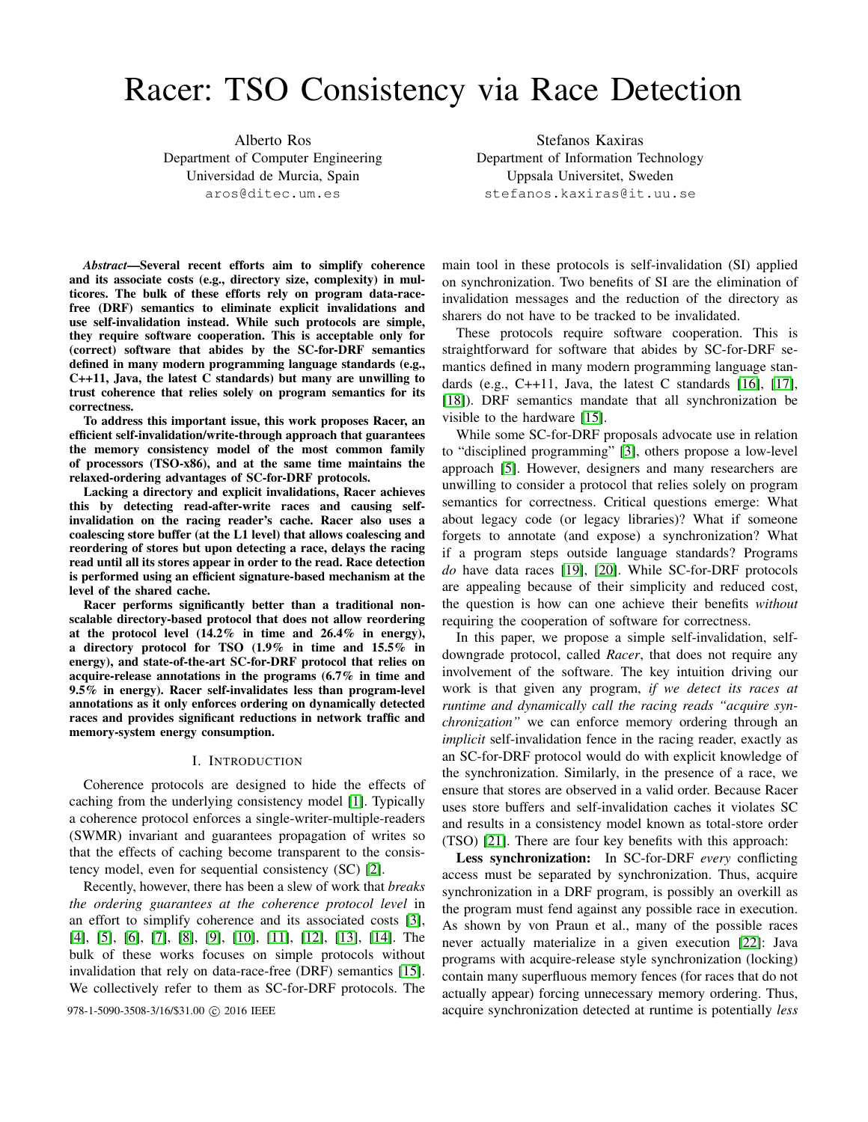# Racer: TSO Consistency via Race Detection

Alberto Ros Department of Computer Engineering Universidad de Murcia, Spain aros@ditec.um.es

Stefanos Kaxiras Department of Information Technology Uppsala Universitet, Sweden stefanos.kaxiras@it.uu.se

*Abstract*—Several recent efforts aim to simplify coherence and its associate costs (e.g., directory size, complexity) in multicores. The bulk of these efforts rely on program data-racefree (DRF) semantics to eliminate explicit invalidations and use self-invalidation instead. While such protocols are simple, they require software cooperation. This is acceptable only for (correct) software that abides by the SC-for-DRF semantics defined in many modern programming language standards (e.g.,  $C++11$ , Java, the latest C standards) but many are unwilling to trust coherence that relies solely on program semantics for its correctness.

To address this important issue, this work proposes Racer, an efficient self-invalidation/write-through approach that guarantees the memory consistency model of the most common family of processors (TSO-x86), and at the same time maintains the relaxed-ordering advantages of SC-for-DRF protocols.

Lacking a directory and explicit invalidations, Racer achieves this by detecting read-after-write races and causing selfinvalidation on the racing reader's cache. Racer also uses a coalescing store buffer (at the L1 level) that allows coalescing and reordering of stores but upon detecting a race, delays the racing read until all its stores appear in order to the read. Race detection is performed using an efficient signature-based mechanism at the level of the shared cache.

Racer performs significantly better than a traditional nonscalable directory-based protocol that does not allow reordering at the protocol level (14.2% in time and 26.4% in energy), a directory protocol for TSO (1.9% in time and 15.5% in energy), and state-of-the-art SC-for-DRF protocol that relies on acquire-release annotations in the programs (6.7% in time and 9.5% in energy). Racer self-invalidates less than program-level annotations as it only enforces ordering on dynamically detected races and provides significant reductions in network traffic and memory-system energy consumption.

## I. INTRODUCTION

Coherence protocols are designed to hide the effects of caching from the underlying consistency model [\[1\]](#page-11-0). Typically a coherence protocol enforces a single-writer-multiple-readers (SWMR) invariant and guarantees propagation of writes so that the effects of caching become transparent to the consistency model, even for sequential consistency (SC) [\[2\]](#page-11-1).

Recently, however, there has been a slew of work that *breaks the ordering guarantees at the coherence protocol level* in an effort to simplify coherence and its associated costs [\[3\]](#page-11-2), [\[4\]](#page-11-3), [\[5\]](#page-11-4), [\[6\]](#page-11-5), [\[7\]](#page-11-6), [\[8\]](#page-11-7), [\[9\]](#page-11-8), [\[10\]](#page-11-9), [\[11\]](#page-11-10), [\[12\]](#page-11-11), [\[13\]](#page-11-12), [\[14\]](#page-11-13). The bulk of these works focuses on simple protocols without invalidation that rely on data-race-free (DRF) semantics [\[15\]](#page-11-14). We collectively refer to them as SC-for-DRF protocols. The

main tool in these protocols is self-invalidation (SI) applied on synchronization. Two benefits of SI are the elimination of invalidation messages and the reduction of the directory as sharers do not have to be tracked to be invalidated.

These protocols require software cooperation. This is straightforward for software that abides by SC-for-DRF semantics defined in many modern programming language standards (e.g.,  $C++11$ , Java, the latest C standards [\[16\]](#page-11-15), [\[17\]](#page-12-0), [\[18\]](#page-12-1)). DRF semantics mandate that all synchronization be visible to the hardware [\[15\]](#page-11-14).

While some SC-for-DRF proposals advocate use in relation to "disciplined programming" [\[3\]](#page-11-2), others propose a low-level approach [\[5\]](#page-11-4). However, designers and many researchers are unwilling to consider a protocol that relies solely on program semantics for correctness. Critical questions emerge: What about legacy code (or legacy libraries)? What if someone forgets to annotate (and expose) a synchronization? What if a program steps outside language standards? Programs *do* have data races [\[19\]](#page-12-2), [\[20\]](#page-12-3). While SC-for-DRF protocols are appealing because of their simplicity and reduced cost, the question is how can one achieve their benefits *without* requiring the cooperation of software for correctness.

In this paper, we propose a simple self-invalidation, selfdowngrade protocol, called *Racer*, that does not require any involvement of the software. The key intuition driving our work is that given any program, *if we detect its races at runtime and dynamically call the racing reads "acquire synchronization"* we can enforce memory ordering through an *implicit* self-invalidation fence in the racing reader, exactly as an SC-for-DRF protocol would do with explicit knowledge of the synchronization. Similarly, in the presence of a race, we ensure that stores are observed in a valid order. Because Racer uses store buffers and self-invalidation caches it violates SC and results in a consistency model known as total-store order (TSO) [\[21\]](#page-12-4). There are four key benefits with this approach:

Less synchronization: In SC-for-DRF *every* conflicting access must be separated by synchronization. Thus, acquire synchronization in a DRF program, is possibly an overkill as the program must fend against any possible race in execution. As shown by von Praun et al., many of the possible races never actually materialize in a given execution [\[22\]](#page-12-5): Java programs with acquire-release style synchronization (locking) contain many superfluous memory fences (for races that do not actually appear) forcing unnecessary memory ordering. Thus, 978-1-5090-3508-3/16/\$31.00 c 2016 IEEE acquire synchronization detected at runtime is potentially *less*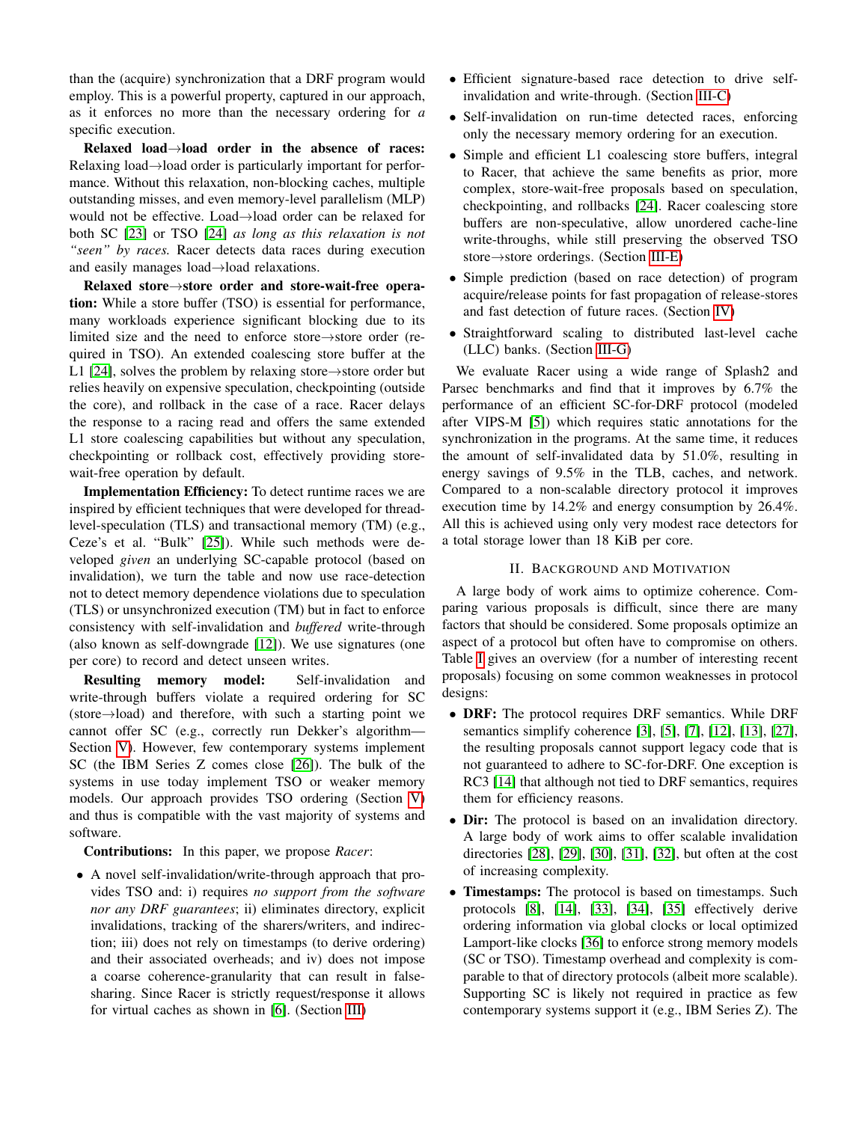than the (acquire) synchronization that a DRF program would employ. This is a powerful property, captured in our approach, as it enforces no more than the necessary ordering for *a* specific execution.

Relaxed load→load order in the absence of races: Relaxing load→load order is particularly important for performance. Without this relaxation, non-blocking caches, multiple outstanding misses, and even memory-level parallelism (MLP) would not be effective. Load→load order can be relaxed for both SC [\[23\]](#page-12-6) or TSO [\[24\]](#page-12-7) *as long as this relaxation is not "seen" by races.* Racer detects data races during execution and easily manages load→load relaxations.

Relaxed store→store order and store-wait-free operation: While a store buffer (TSO) is essential for performance, many workloads experience significant blocking due to its limited size and the need to enforce store→store order (required in TSO). An extended coalescing store buffer at the L1 [\[24\]](#page-12-7), solves the problem by relaxing store→store order but relies heavily on expensive speculation, checkpointing (outside the core), and rollback in the case of a race. Racer delays the response to a racing read and offers the same extended L1 store coalescing capabilities but without any speculation, checkpointing or rollback cost, effectively providing storewait-free operation by default.

Implementation Efficiency: To detect runtime races we are inspired by efficient techniques that were developed for threadlevel-speculation (TLS) and transactional memory (TM) (e.g., Ceze's et al. "Bulk" [\[25\]](#page-12-8)). While such methods were developed *given* an underlying SC-capable protocol (based on invalidation), we turn the table and now use race-detection not to detect memory dependence violations due to speculation (TLS) or unsynchronized execution (TM) but in fact to enforce consistency with self-invalidation and *buffered* write-through (also known as self-downgrade [\[12\]](#page-11-11)). We use signatures (one per core) to record and detect unseen writes.

Resulting memory model: Self-invalidation and write-through buffers violate a required ordering for SC (store→load) and therefore, with such a starting point we cannot offer SC (e.g., correctly run Dekker's algorithm— Section [V\)](#page-6-0). However, few contemporary systems implement SC (the IBM Series Z comes close [\[26\]](#page-12-9)). The bulk of the systems in use today implement TSO or weaker memory models. Our approach provides TSO ordering (Section [V\)](#page-6-0) and thus is compatible with the vast majority of systems and software.

Contributions: In this paper, we propose *Racer*:

• A novel self-invalidation/write-through approach that provides TSO and: i) requires *no support from the software nor any DRF guarantees*; ii) eliminates directory, explicit invalidations, tracking of the sharers/writers, and indirection; iii) does not rely on timestamps (to derive ordering) and their associated overheads; and iv) does not impose a coarse coherence-granularity that can result in falsesharing. Since Racer is strictly request/response it allows for virtual caches as shown in [\[6\]](#page-11-5). (Section [III\)](#page-2-0)

- Efficient signature-based race detection to drive selfinvalidation and write-through. (Section [III-C\)](#page-3-0)
- Self-invalidation on run-time detected races, enforcing only the necessary memory ordering for an execution.
- Simple and efficient L1 coalescing store buffers, integral to Racer, that achieve the same benefits as prior, more complex, store-wait-free proposals based on speculation, checkpointing, and rollbacks [\[24\]](#page-12-7). Racer coalescing store buffers are non-speculative, allow unordered cache-line write-throughs, while still preserving the observed TSO store→store orderings. (Section [III-E\)](#page-4-0)
- Simple prediction (based on race detection) of program acquire/release points for fast propagation of release-stores and fast detection of future races. (Section [IV\)](#page-6-1)
- Straightforward scaling to distributed last-level cache (LLC) banks. (Section [III-G\)](#page-5-0)

We evaluate Racer using a wide range of Splash2 and Parsec benchmarks and find that it improves by 6.7% the performance of an efficient SC-for-DRF protocol (modeled after VIPS-M [\[5\]](#page-11-4)) which requires static annotations for the synchronization in the programs. At the same time, it reduces the amount of self-invalidated data by 51.0%, resulting in energy savings of 9.5% in the TLB, caches, and network. Compared to a non-scalable directory protocol it improves execution time by 14.2% and energy consumption by 26.4%. All this is achieved using only very modest race detectors for a total storage lower than 18 KiB per core.

## II. BACKGROUND AND MOTIVATION

A large body of work aims to optimize coherence. Comparing various proposals is difficult, since there are many factors that should be considered. Some proposals optimize an aspect of a protocol but often have to compromise on others. Table [I](#page-2-1) gives an overview (for a number of interesting recent proposals) focusing on some common weaknesses in protocol designs:

- **DRF:** The protocol requires DRF semantics. While DRF semantics simplify coherence [\[3\]](#page-11-2), [\[5\]](#page-11-4), [\[7\]](#page-11-6), [\[12\]](#page-11-11), [\[13\]](#page-11-12), [\[27\]](#page-12-10), the resulting proposals cannot support legacy code that is not guaranteed to adhere to SC-for-DRF. One exception is RC3 [\[14\]](#page-11-13) that although not tied to DRF semantics, requires them for efficiency reasons.
- Dir: The protocol is based on an invalidation directory. A large body of work aims to offer scalable invalidation directories [\[28\]](#page-12-11), [\[29\]](#page-12-12), [\[30\]](#page-12-13), [\[31\]](#page-12-14), [\[32\]](#page-12-15), but often at the cost of increasing complexity.
- Timestamps: The protocol is based on timestamps. Such protocols [\[8\]](#page-11-7), [\[14\]](#page-11-13), [\[33\]](#page-12-16), [\[34\]](#page-12-17), [\[35\]](#page-12-18) effectively derive ordering information via global clocks or local optimized Lamport-like clocks [\[36\]](#page-12-19) to enforce strong memory models (SC or TSO). Timestamp overhead and complexity is comparable to that of directory protocols (albeit more scalable). Supporting SC is likely not required in practice as few contemporary systems support it (e.g., IBM Series Z). The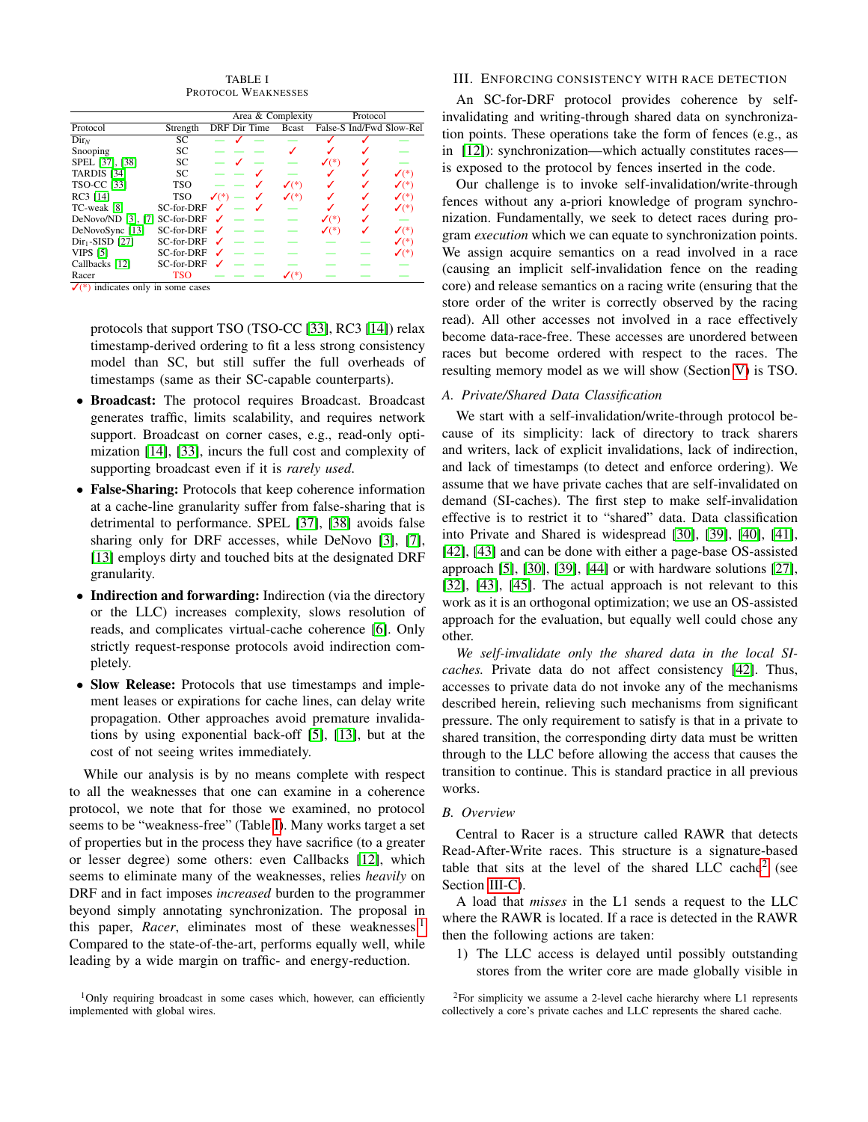TABLE I PROTOCOL WEAKNESSES

<span id="page-2-1"></span>

|                               |            |                     |              | Area & Complexity   |                     | Protocol |                          |
|-------------------------------|------------|---------------------|--------------|---------------------|---------------------|----------|--------------------------|
| Protocol                      | Strength   |                     | DRF Dir Time | <b>B</b> cast       |                     |          | False-S Ind/Fwd Slow-Rel |
| $Dir_{N}$                     | SC         |                     |              |                     |                     |          |                          |
| Snooping                      | SС         |                     |              |                     |                     |          |                          |
| SPEL [37], [38]               | SС         |                     |              |                     | $\mathcal{N}^{(*)}$ |          |                          |
| TARDIS [34]                   | SC.        |                     |              |                     |                     |          | $\mathcal{V}^{(*)}$      |
| <b>TSO-CC [33]</b>            | <b>TSO</b> |                     |              | $\mathcal{N}^{(*)}$ |                     |          | $\mathcal{N}^{(*)}$      |
| RC3 [14]                      | TSO        | $\mathcal{N}^{(*)}$ |              | $\mathcal{N}^{(*)}$ |                     |          | $\mathcal{N}^{(*)}$      |
| TC-weak [8]                   | SC-for-DRF |                     |              |                     |                     |          | $\mathcal{N}^{(*)}$      |
| DeNovo/ND [3], [7] SC-for-DRF |            |                     |              |                     | $\mathcal{N}^{(*)}$ |          |                          |
| DeNovoSync [13]               | SC-for-DRF |                     |              |                     | $\mathcal{N}^{(*)}$ |          | $\mathcal{N}^{(*)}$      |
| $Dir1-SISD$ [27]              | SC-for-DRF |                     |              |                     |                     |          | $\mathcal{N}^{(*)}$      |
| <b>VIPS</b> [5]               | SC-for-DRF |                     |              |                     |                     |          | $\checkmark$ (*)         |
| Callbacks [12]                | SC-for-DRF |                     |              |                     |                     |          |                          |
| Racer                         | TSO        |                     |              |                     |                     |          |                          |

 $\sqrt{x^*}$  indicates only in some cases

protocols that support TSO (TSO-CC [\[33\]](#page-12-16), RC3 [\[14\]](#page-11-13)) relax timestamp-derived ordering to fit a less strong consistency model than SC, but still suffer the full overheads of timestamps (same as their SC-capable counterparts).

- Broadcast: The protocol requires Broadcast. Broadcast generates traffic, limits scalability, and requires network support. Broadcast on corner cases, e.g., read-only optimization [\[14\]](#page-11-13), [\[33\]](#page-12-16), incurs the full cost and complexity of supporting broadcast even if it is *rarely used*.
- False-Sharing: Protocols that keep coherence information at a cache-line granularity suffer from false-sharing that is detrimental to performance. SPEL [\[37\]](#page-12-20), [\[38\]](#page-12-21) avoids false sharing only for DRF accesses, while DeNovo [\[3\]](#page-11-2), [\[7\]](#page-11-6), [\[13\]](#page-11-12) employs dirty and touched bits at the designated DRF granularity.
- Indirection and forwarding: Indirection (via the directory or the LLC) increases complexity, slows resolution of reads, and complicates virtual-cache coherence [\[6\]](#page-11-5). Only strictly request-response protocols avoid indirection completely.
- Slow Release: Protocols that use timestamps and implement leases or expirations for cache lines, can delay write propagation. Other approaches avoid premature invalidations by using exponential back-off [\[5\]](#page-11-4), [\[13\]](#page-11-12), but at the cost of not seeing writes immediately.

While our analysis is by no means complete with respect to all the weaknesses that one can examine in a coherence protocol, we note that for those we examined, no protocol seems to be "weakness-free" (Table [I\)](#page-2-1). Many works target a set of properties but in the process they have sacrifice (to a greater or lesser degree) some others: even Callbacks [\[12\]](#page-11-11), which seems to eliminate many of the weaknesses, relies *heavily* on DRF and in fact imposes *increased* burden to the programmer beyond simply annotating synchronization. The proposal in this paper, *Racer*, eliminates most of these weaknesses.<sup>[1](#page-2-2)</sup> Compared to the state-of-the-art, performs equally well, while leading by a wide margin on traffic- and energy-reduction.

## <span id="page-2-0"></span>III. ENFORCING CONSISTENCY WITH RACE DETECTION

An SC-for-DRF protocol provides coherence by selfinvalidating and writing-through shared data on synchronization points. These operations take the form of fences (e.g., as in [\[12\]](#page-11-11)): synchronization—which actually constitutes races is exposed to the protocol by fences inserted in the code.

Our challenge is to invoke self-invalidation/write-through fences without any a-priori knowledge of program synchronization. Fundamentally, we seek to detect races during program *execution* which we can equate to synchronization points. We assign acquire semantics on a read involved in a race (causing an implicit self-invalidation fence on the reading core) and release semantics on a racing write (ensuring that the store order of the writer is correctly observed by the racing read). All other accesses not involved in a race effectively become data-race-free. These accesses are unordered between races but become ordered with respect to the races. The resulting memory model as we will show (Section [V\)](#page-6-0) is TSO.

## *A. Private/Shared Data Classification*

We start with a self-invalidation/write-through protocol because of its simplicity: lack of directory to track sharers and writers, lack of explicit invalidations, lack of indirection, and lack of timestamps (to detect and enforce ordering). We assume that we have private caches that are self-invalidated on demand (SI-caches). The first step to make self-invalidation effective is to restrict it to "shared" data. Data classification into Private and Shared is widespread [\[30\]](#page-12-13), [\[39\]](#page-12-22), [\[40\]](#page-12-23), [\[41\]](#page-12-24), [\[42\]](#page-12-25), [\[43\]](#page-12-26) and can be done with either a page-base OS-assisted approach [\[5\]](#page-11-4), [\[30\]](#page-12-13), [\[39\]](#page-12-22), [\[44\]](#page-12-27) or with hardware solutions [\[27\]](#page-12-10), [\[32\]](#page-12-15), [\[43\]](#page-12-26), [\[45\]](#page-12-28). The actual approach is not relevant to this work as it is an orthogonal optimization; we use an OS-assisted approach for the evaluation, but equally well could chose any other.

*We self-invalidate only the shared data in the local SIcaches.* Private data do not affect consistency [\[42\]](#page-12-25). Thus, accesses to private data do not invoke any of the mechanisms described herein, relieving such mechanisms from significant pressure. The only requirement to satisfy is that in a private to shared transition, the corresponding dirty data must be written through to the LLC before allowing the access that causes the transition to continue. This is standard practice in all previous works.

## *B. Overview*

Central to Racer is a structure called RAWR that detects Read-After-Write races. This structure is a signature-based table that sits at the level of the shared LLC cache<sup>[2](#page-2-3)</sup> (see Section [III-C\)](#page-3-0).

A load that *misses* in the L1 sends a request to the LLC where the RAWR is located. If a race is detected in the RAWR then the following actions are taken:

1) The LLC access is delayed until possibly outstanding stores from the writer core are made globally visible in

<span id="page-2-2"></span><sup>&</sup>lt;sup>1</sup>Only requiring broadcast in some cases which, however, can efficiently implemented with global wires.

<span id="page-2-3"></span> ${}^{2}$ For simplicity we assume a 2-level cache hierarchy where L1 represents collectively a core's private caches and LLC represents the shared cache.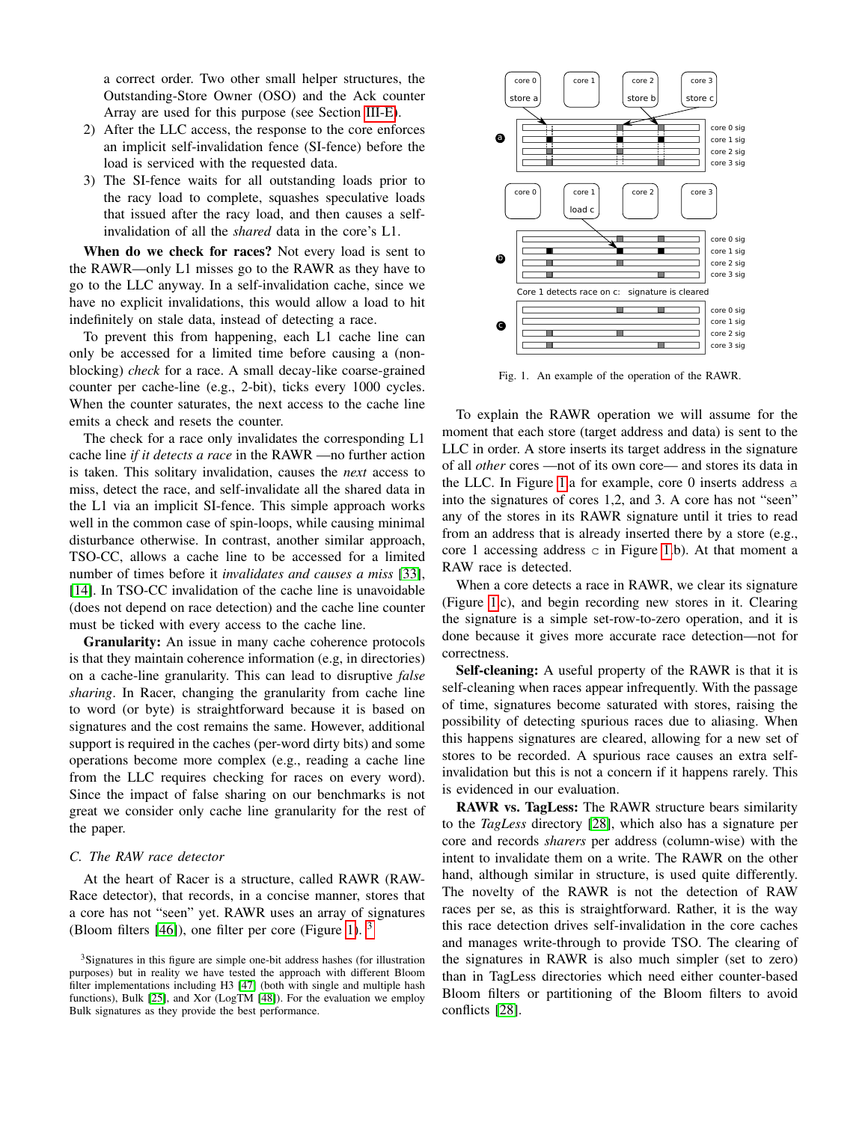a correct order. Two other small helper structures, the Outstanding-Store Owner (OSO) and the Ack counter Array are used for this purpose (see Section [III-E\)](#page-4-0).

- 2) After the LLC access, the response to the core enforces an implicit self-invalidation fence (SI-fence) before the load is serviced with the requested data.
- 3) The SI-fence waits for all outstanding loads prior to the racy load to complete, squashes speculative loads that issued after the racy load, and then causes a selfinvalidation of all the *shared* data in the core's L1.

When do we check for races? Not every load is sent to the RAWR—only L1 misses go to the RAWR as they have to go to the LLC anyway. In a self-invalidation cache, since we have no explicit invalidations, this would allow a load to hit indefinitely on stale data, instead of detecting a race.

To prevent this from happening, each L1 cache line can only be accessed for a limited time before causing a (nonblocking) *check* for a race. A small decay-like coarse-grained counter per cache-line (e.g., 2-bit), ticks every 1000 cycles. When the counter saturates, the next access to the cache line emits a check and resets the counter.

The check for a race only invalidates the corresponding L1 cache line *if it detects a race* in the RAWR —no further action is taken. This solitary invalidation, causes the *next* access to miss, detect the race, and self-invalidate all the shared data in the L1 via an implicit SI-fence. This simple approach works well in the common case of spin-loops, while causing minimal disturbance otherwise. In contrast, another similar approach, TSO-CC, allows a cache line to be accessed for a limited number of times before it *invalidates and causes a miss* [\[33\]](#page-12-16), [\[14\]](#page-11-13). In TSO-CC invalidation of the cache line is unavoidable (does not depend on race detection) and the cache line counter must be ticked with every access to the cache line.

Granularity: An issue in many cache coherence protocols is that they maintain coherence information (e.g, in directories) on a cache-line granularity. This can lead to disruptive *false sharing*. In Racer, changing the granularity from cache line to word (or byte) is straightforward because it is based on signatures and the cost remains the same. However, additional support is required in the caches (per-word dirty bits) and some operations become more complex (e.g., reading a cache line from the LLC requires checking for races on every word). Since the impact of false sharing on our benchmarks is not great we consider only cache line granularity for the rest of the paper.

## <span id="page-3-0"></span>*C. The RAW race detector*

At the heart of Racer is a structure, called RAWR (RAW-Race detector), that records, in a concise manner, stores that a core has not "seen" yet. RAWR uses an array of signatures (Bloom filters [\[46\]](#page-12-29)), one filter per core (Figure [1\)](#page-3-1).  $3$ 



<span id="page-3-1"></span>Fig. 1. An example of the operation of the RAWR.

To explain the RAWR operation we will assume for the moment that each store (target address and data) is sent to the LLC in order. A store inserts its target address in the signature of all *other* cores —not of its own core— and stores its data in the LLC. In Figure [1.](#page-3-1)a for example, core 0 inserts address a into the signatures of cores 1,2, and 3. A core has not "seen" any of the stores in its RAWR signature until it tries to read from an address that is already inserted there by a store (e.g., core 1 accessing address  $\circ$  in Figure [1.](#page-3-1)b). At that moment a RAW race is detected.

When a core detects a race in RAWR, we clear its signature (Figure [1.](#page-3-1)c), and begin recording new stores in it. Clearing the signature is a simple set-row-to-zero operation, and it is done because it gives more accurate race detection—not for correctness.

Self-cleaning: A useful property of the RAWR is that it is self-cleaning when races appear infrequently. With the passage of time, signatures become saturated with stores, raising the possibility of detecting spurious races due to aliasing. When this happens signatures are cleared, allowing for a new set of stores to be recorded. A spurious race causes an extra selfinvalidation but this is not a concern if it happens rarely. This is evidenced in our evaluation.

RAWR vs. TagLess: The RAWR structure bears similarity to the *TagLess* directory [\[28\]](#page-12-11), which also has a signature per core and records *sharers* per address (column-wise) with the intent to invalidate them on a write. The RAWR on the other hand, although similar in structure, is used quite differently. The novelty of the RAWR is not the detection of RAW races per se, as this is straightforward. Rather, it is the way this race detection drives self-invalidation in the core caches and manages write-through to provide TSO. The clearing of the signatures in RAWR is also much simpler (set to zero) than in TagLess directories which need either counter-based Bloom filters or partitioning of the Bloom filters to avoid conflicts [\[28\]](#page-12-11).

<span id="page-3-2"></span><sup>&</sup>lt;sup>3</sup>Signatures in this figure are simple one-bit address hashes (for illustration purposes) but in reality we have tested the approach with different Bloom filter implementations including H3 [\[47\]](#page-12-30) (both with single and multiple hash functions), Bulk [\[25\]](#page-12-8), and Xor (LogTM [\[48\]](#page-12-31)). For the evaluation we employ Bulk signatures as they provide the best performance.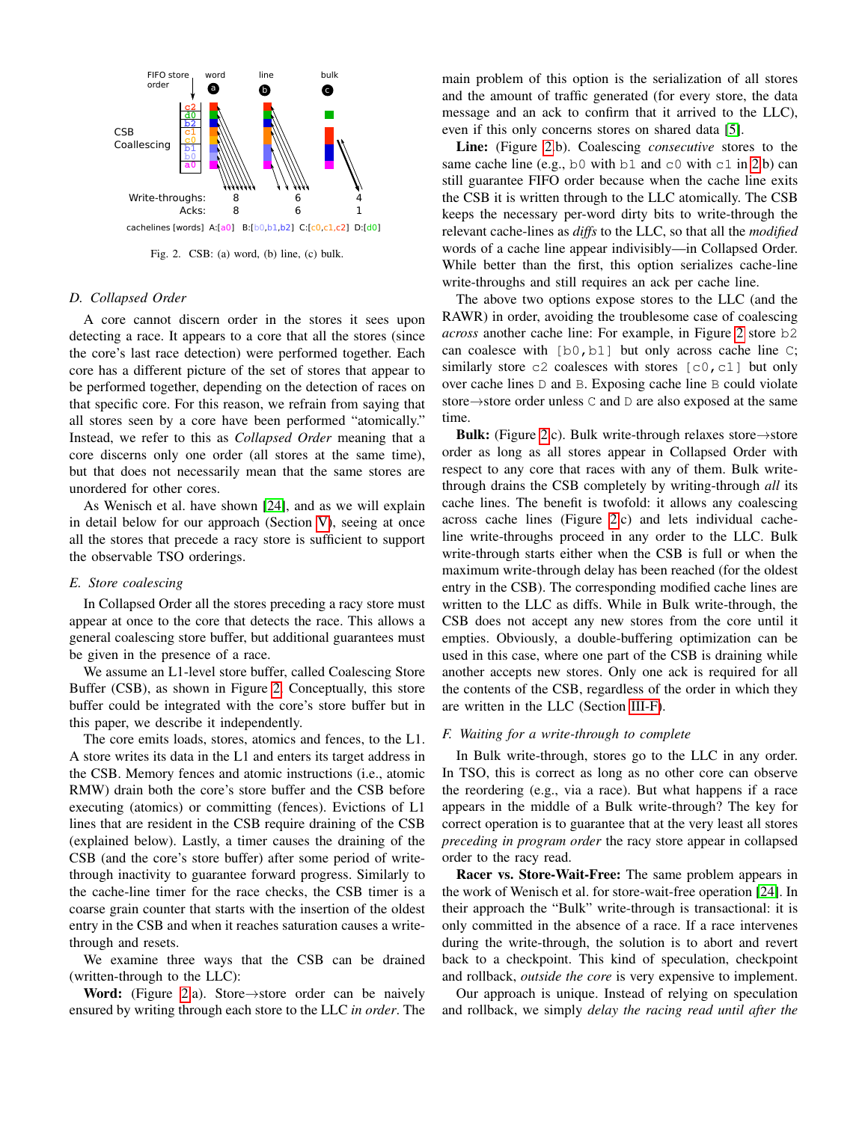

<span id="page-4-1"></span>Fig. 2. CSB: (a) word, (b) line, (c) bulk.

#### *D. Collapsed Order*

A core cannot discern order in the stores it sees upon detecting a race. It appears to a core that all the stores (since the core's last race detection) were performed together. Each core has a different picture of the set of stores that appear to be performed together, depending on the detection of races on that specific core. For this reason, we refrain from saying that all stores seen by a core have been performed "atomically." Instead, we refer to this as *Collapsed Order* meaning that a core discerns only one order (all stores at the same time), but that does not necessarily mean that the same stores are unordered for other cores.

As Wenisch et al. have shown [\[24\]](#page-12-7), and as we will explain in detail below for our approach (Section [V\)](#page-6-0), seeing at once all the stores that precede a racy store is sufficient to support the observable TSO orderings.

## <span id="page-4-0"></span>*E. Store coalescing*

In Collapsed Order all the stores preceding a racy store must appear at once to the core that detects the race. This allows a general coalescing store buffer, but additional guarantees must be given in the presence of a race.

We assume an L1-level store buffer, called Coalescing Store Buffer (CSB), as shown in Figure [2.](#page-4-1) Conceptually, this store buffer could be integrated with the core's store buffer but in this paper, we describe it independently.

The core emits loads, stores, atomics and fences, to the L1. A store writes its data in the L1 and enters its target address in the CSB. Memory fences and atomic instructions (i.e., atomic RMW) drain both the core's store buffer and the CSB before executing (atomics) or committing (fences). Evictions of L1 lines that are resident in the CSB require draining of the CSB (explained below). Lastly, a timer causes the draining of the CSB (and the core's store buffer) after some period of writethrough inactivity to guarantee forward progress. Similarly to the cache-line timer for the race checks, the CSB timer is a coarse grain counter that starts with the insertion of the oldest entry in the CSB and when it reaches saturation causes a writethrough and resets.

We examine three ways that the CSB can be drained (written-through to the LLC):

Word: (Figure [2.](#page-4-1)a). Store→store order can be naively ensured by writing through each store to the LLC *in order*. The main problem of this option is the serialization of all stores and the amount of traffic generated (for every store, the data message and an ack to confirm that it arrived to the LLC), even if this only concerns stores on shared data [\[5\]](#page-11-4).

Line: (Figure [2.](#page-4-1)b). Coalescing *consecutive* stores to the same cache line (e.g., b0 with b1 and  $c0$  with  $c1$  in [2.](#page-4-1)b) can still guarantee FIFO order because when the cache line exits the CSB it is written through to the LLC atomically. The CSB keeps the necessary per-word dirty bits to write-through the relevant cache-lines as *diffs* to the LLC, so that all the *modified* words of a cache line appear indivisibly—in Collapsed Order. While better than the first, this option serializes cache-line write-throughs and still requires an ack per cache line.

The above two options expose stores to the LLC (and the RAWR) in order, avoiding the troublesome case of coalescing *across* another cache line: For example, in Figure [2](#page-4-1) store b2 can coalesce with  $[b0, b1]$  but only across cache line C; similarly store  $c2$  coalesces with stores  $[c0, c1]$  but only over cache lines D and B. Exposing cache line B could violate store→store order unless C and D are also exposed at the same time.

Bulk: (Figure [2.](#page-4-1)c). Bulk write-through relaxes store→store order as long as all stores appear in Collapsed Order with respect to any core that races with any of them. Bulk writethrough drains the CSB completely by writing-through *all* its cache lines. The benefit is twofold: it allows any coalescing across cache lines (Figure [2.](#page-4-1)c) and lets individual cacheline write-throughs proceed in any order to the LLC. Bulk write-through starts either when the CSB is full or when the maximum write-through delay has been reached (for the oldest entry in the CSB). The corresponding modified cache lines are written to the LLC as diffs. While in Bulk write-through, the CSB does not accept any new stores from the core until it empties. Obviously, a double-buffering optimization can be used in this case, where one part of the CSB is draining while another accepts new stores. Only one ack is required for all the contents of the CSB, regardless of the order in which they are written in the LLC (Section [III-F\)](#page-4-2).

## <span id="page-4-2"></span>*F. Waiting for a write-through to complete*

In Bulk write-through, stores go to the LLC in any order. In TSO, this is correct as long as no other core can observe the reordering (e.g., via a race). But what happens if a race appears in the middle of a Bulk write-through? The key for correct operation is to guarantee that at the very least all stores *preceding in program order* the racy store appear in collapsed order to the racy read.

Racer vs. Store-Wait-Free: The same problem appears in the work of Wenisch et al. for store-wait-free operation [\[24\]](#page-12-7). In their approach the "Bulk" write-through is transactional: it is only committed in the absence of a race. If a race intervenes during the write-through, the solution is to abort and revert back to a checkpoint. This kind of speculation, checkpoint and rollback, *outside the core* is very expensive to implement.

Our approach is unique. Instead of relying on speculation and rollback, we simply *delay the racing read until after the*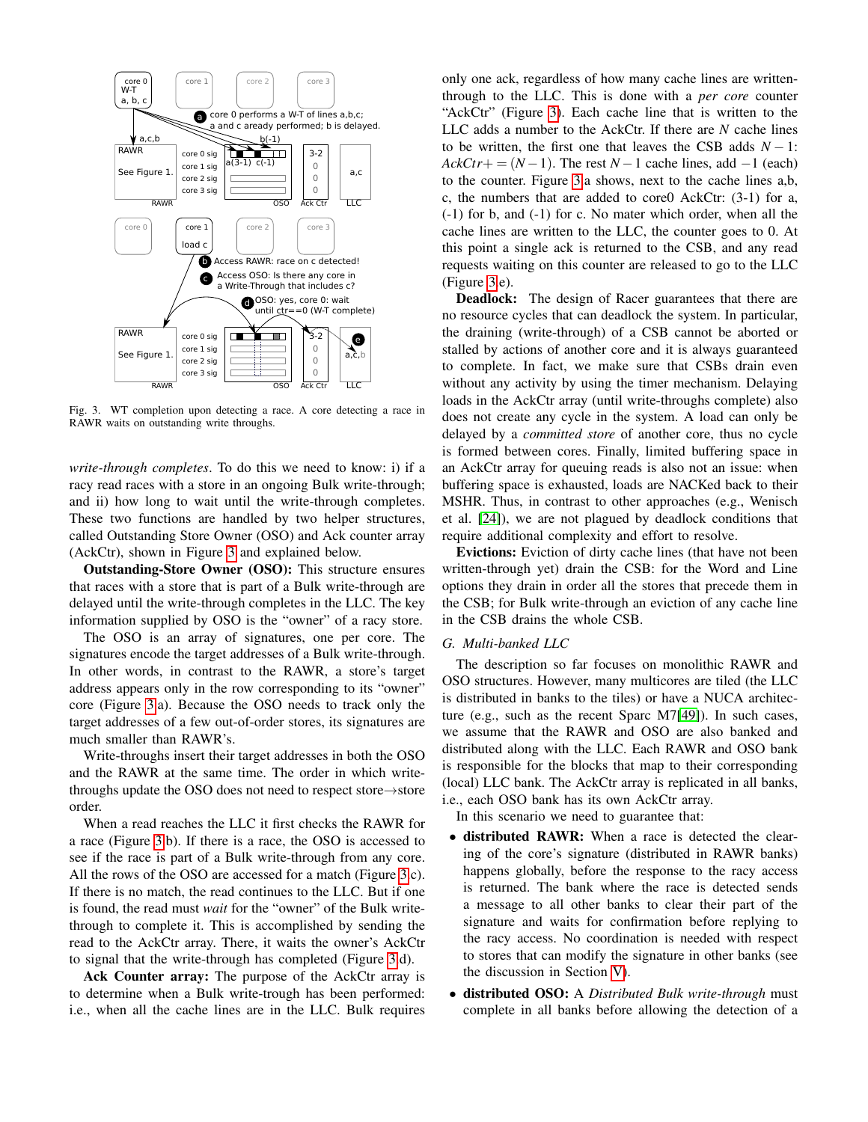

<span id="page-5-1"></span>Fig. 3. WT completion upon detecting a race. A core detecting a race in RAWR waits on outstanding write throughs.

*write-through completes*. To do this we need to know: i) if a racy read races with a store in an ongoing Bulk write-through; and ii) how long to wait until the write-through completes. These two functions are handled by two helper structures, called Outstanding Store Owner (OSO) and Ack counter array (AckCtr), shown in Figure [3](#page-5-1) and explained below.

Outstanding-Store Owner (OSO): This structure ensures that races with a store that is part of a Bulk write-through are delayed until the write-through completes in the LLC. The key information supplied by OSO is the "owner" of a racy store.

The OSO is an array of signatures, one per core. The signatures encode the target addresses of a Bulk write-through. In other words, in contrast to the RAWR, a store's target address appears only in the row corresponding to its "owner" core (Figure [3.](#page-5-1)a). Because the OSO needs to track only the target addresses of a few out-of-order stores, its signatures are much smaller than RAWR's.

Write-throughs insert their target addresses in both the OSO and the RAWR at the same time. The order in which writethroughs update the OSO does not need to respect store→store order.

When a read reaches the LLC it first checks the RAWR for a race (Figure [3.](#page-5-1)b). If there is a race, the OSO is accessed to see if the race is part of a Bulk write-through from any core. All the rows of the OSO are accessed for a match (Figure [3.](#page-5-1)c). If there is no match, the read continues to the LLC. But if one is found, the read must *wait* for the "owner" of the Bulk writethrough to complete it. This is accomplished by sending the read to the AckCtr array. There, it waits the owner's AckCtr to signal that the write-through has completed (Figure [3.](#page-5-1)d).

Ack Counter array: The purpose of the AckCtr array is to determine when a Bulk write-trough has been performed: i.e., when all the cache lines are in the LLC. Bulk requires

only one ack, regardless of how many cache lines are writtenthrough to the LLC. This is done with a *per core* counter "AckCtr" (Figure [3\)](#page-5-1). Each cache line that is written to the LLC adds a number to the AckCtr. If there are *N* cache lines to be written, the first one that leaves the CSB adds *N* − 1:  $AckCtr+ = (N-1)$ . The rest  $N-1$  cache lines, add  $-1$  (each) to the counter. Figure [3.](#page-5-1)a shows, next to the cache lines a,b, c, the numbers that are added to core0 AckCtr: (3-1) for a, (-1) for b, and (-1) for c. No mater which order, when all the cache lines are written to the LLC, the counter goes to 0. At this point a single ack is returned to the CSB, and any read requests waiting on this counter are released to go to the LLC (Figure [3.](#page-5-1)e).

Deadlock: The design of Racer guarantees that there are no resource cycles that can deadlock the system. In particular, the draining (write-through) of a CSB cannot be aborted or stalled by actions of another core and it is always guaranteed to complete. In fact, we make sure that CSBs drain even without any activity by using the timer mechanism. Delaying loads in the AckCtr array (until write-throughs complete) also does not create any cycle in the system. A load can only be delayed by a *committed store* of another core, thus no cycle is formed between cores. Finally, limited buffering space in an AckCtr array for queuing reads is also not an issue: when buffering space is exhausted, loads are NACKed back to their MSHR. Thus, in contrast to other approaches (e.g., Wenisch et al. [\[24\]](#page-12-7)), we are not plagued by deadlock conditions that require additional complexity and effort to resolve.

Evictions: Eviction of dirty cache lines (that have not been written-through yet) drain the CSB: for the Word and Line options they drain in order all the stores that precede them in the CSB; for Bulk write-through an eviction of any cache line in the CSB drains the whole CSB.

#### <span id="page-5-0"></span>*G. Multi-banked LLC*

The description so far focuses on monolithic RAWR and OSO structures. However, many multicores are tiled (the LLC is distributed in banks to the tiles) or have a NUCA architecture (e.g., such as the recent Sparc M7[\[49\]](#page-12-32)). In such cases, we assume that the RAWR and OSO are also banked and distributed along with the LLC. Each RAWR and OSO bank is responsible for the blocks that map to their corresponding (local) LLC bank. The AckCtr array is replicated in all banks, i.e., each OSO bank has its own AckCtr array.

In this scenario we need to guarantee that:

- distributed RAWR: When a race is detected the clearing of the core's signature (distributed in RAWR banks) happens globally, before the response to the racy access is returned. The bank where the race is detected sends a message to all other banks to clear their part of the signature and waits for confirmation before replying to the racy access. No coordination is needed with respect to stores that can modify the signature in other banks (see the discussion in Section [V\)](#page-6-0).
- distributed OSO: A *Distributed Bulk write-through* must complete in all banks before allowing the detection of a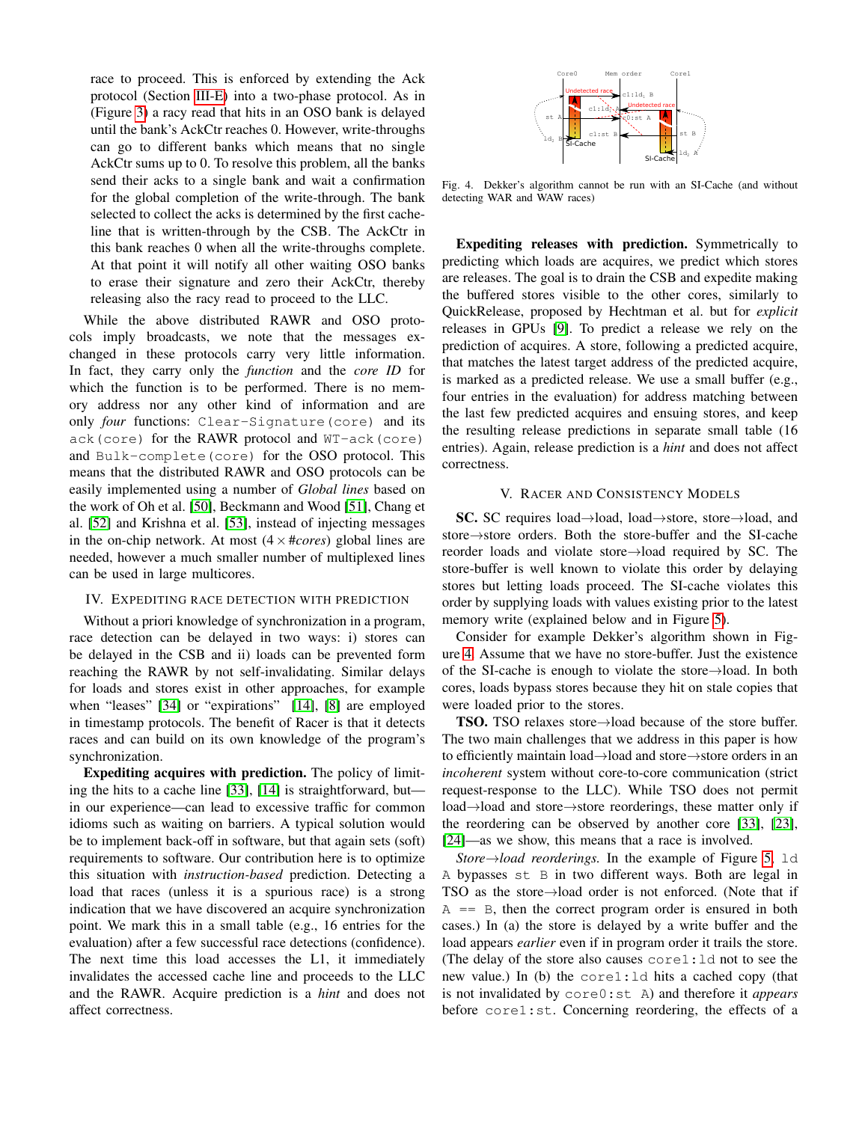race to proceed. This is enforced by extending the Ack protocol (Section [III-E\)](#page-4-0) into a two-phase protocol. As in (Figure [3\)](#page-5-1) a racy read that hits in an OSO bank is delayed until the bank's AckCtr reaches 0. However, write-throughs can go to different banks which means that no single AckCtr sums up to 0. To resolve this problem, all the banks send their acks to a single bank and wait a confirmation for the global completion of the write-through. The bank selected to collect the acks is determined by the first cacheline that is written-through by the CSB. The AckCtr in this bank reaches 0 when all the write-throughs complete. At that point it will notify all other waiting OSO banks to erase their signature and zero their AckCtr, thereby releasing also the racy read to proceed to the LLC.

While the above distributed RAWR and OSO protocols imply broadcasts, we note that the messages exchanged in these protocols carry very little information. In fact, they carry only the *function* and the *core ID* for which the function is to be performed. There is no memory address nor any other kind of information and are only *four* functions: Clear-Signature(core) and its ack(core) for the RAWR protocol and WT-ack(core) and Bulk-complete(core) for the OSO protocol. This means that the distributed RAWR and OSO protocols can be easily implemented using a number of *Global lines* based on the work of Oh et al. [\[50\]](#page-12-33), Beckmann and Wood [\[51\]](#page-12-34), Chang et al. [\[52\]](#page-12-35) and Krishna et al. [\[53\]](#page-12-36), instead of injecting messages in the on-chip network. At most  $(4 \times \text{#cores})$  global lines are needed, however a much smaller number of multiplexed lines can be used in large multicores.

## <span id="page-6-1"></span>IV. EXPEDITING RACE DETECTION WITH PREDICTION

Without a priori knowledge of synchronization in a program, race detection can be delayed in two ways: i) stores can be delayed in the CSB and ii) loads can be prevented form reaching the RAWR by not self-invalidating. Similar delays for loads and stores exist in other approaches, for example when "leases" [\[34\]](#page-12-17) or "expirations" [\[14\]](#page-11-13), [\[8\]](#page-11-7) are employed in timestamp protocols. The benefit of Racer is that it detects races and can build on its own knowledge of the program's synchronization.

Expediting acquires with prediction. The policy of limiting the hits to a cache line [\[33\]](#page-12-16), [\[14\]](#page-11-13) is straightforward, but in our experience—can lead to excessive traffic for common idioms such as waiting on barriers. A typical solution would be to implement back-off in software, but that again sets (soft) requirements to software. Our contribution here is to optimize this situation with *instruction-based* prediction. Detecting a load that races (unless it is a spurious race) is a strong indication that we have discovered an acquire synchronization point. We mark this in a small table (e.g., 16 entries for the evaluation) after a few successful race detections (confidence). The next time this load accesses the L1, it immediately invalidates the accessed cache line and proceeds to the LLC and the RAWR. Acquire prediction is a *hint* and does not affect correctness.



<span id="page-6-2"></span>Fig. 4. Dekker's algorithm cannot be run with an SI-Cache (and without detecting WAR and WAW races)

Expediting releases with prediction. Symmetrically to predicting which loads are acquires, we predict which stores are releases. The goal is to drain the CSB and expedite making the buffered stores visible to the other cores, similarly to QuickRelease, proposed by Hechtman et al. but for *explicit* releases in GPUs [\[9\]](#page-11-8). To predict a release we rely on the prediction of acquires. A store, following a predicted acquire, that matches the latest target address of the predicted acquire, is marked as a predicted release. We use a small buffer (e.g., four entries in the evaluation) for address matching between the last few predicted acquires and ensuing stores, and keep the resulting release predictions in separate small table (16 entries). Again, release prediction is a *hint* and does not affect correctness.

## V. RACER AND CONSISTENCY MODELS

<span id="page-6-0"></span>SC. SC requires load→load, load→store, store→load, and store→store orders. Both the store-buffer and the SI-cache reorder loads and violate store→load required by SC. The store-buffer is well known to violate this order by delaying stores but letting loads proceed. The SI-cache violates this order by supplying loads with values existing prior to the latest memory write (explained below and in Figure [5\)](#page-7-0).

Consider for example Dekker's algorithm shown in Figure [4.](#page-6-2) Assume that we have no store-buffer. Just the existence of the SI-cache is enough to violate the store→load. In both cores, loads bypass stores because they hit on stale copies that were loaded prior to the stores.

TSO. TSO relaxes store→load because of the store buffer. The two main challenges that we address in this paper is how to efficiently maintain load→load and store→store orders in an *incoherent* system without core-to-core communication (strict request-response to the LLC). While TSO does not permit load→load and store→store reorderings, these matter only if the reordering can be observed by another core [\[33\]](#page-12-16), [\[23\]](#page-12-6), [\[24\]](#page-12-7)—as we show, this means that a race is involved.

*Store*→*load reorderings.* In the example of Figure [5,](#page-7-0) ld A bypasses st B in two different ways. Both are legal in TSO as the store→load order is not enforced. (Note that if  $A = B$ , then the correct program order is ensured in both cases.) In (a) the store is delayed by a write buffer and the load appears *earlier* even if in program order it trails the store. (The delay of the store also causes core1:ld not to see the new value.) In (b) the core1:ld hits a cached copy (that is not invalidated by core0:st A) and therefore it *appears* before core1:st. Concerning reordering, the effects of a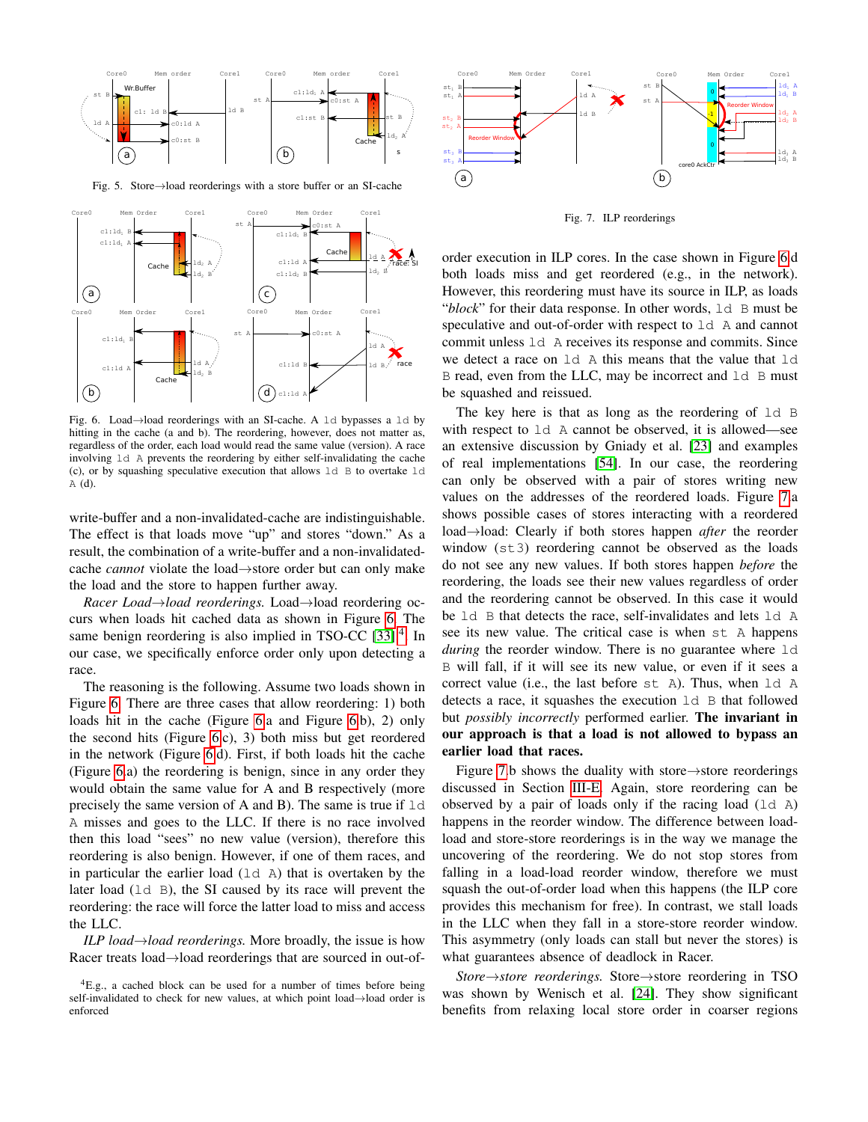

<span id="page-7-0"></span>Fig. 5. Store→load reorderings with a store buffer or an SI-cache



<span id="page-7-1"></span>Fig. 6. Load→load reorderings with an SI-cache. A ld bypasses a ld by hitting in the cache (a and b). The reordering, however, does not matter as, regardless of the order, each load would read the same value (version). A race involving ld A prevents the reordering by either self-invalidating the cache (c), or by squashing speculative execution that allows ld B to overtake ld  $A$   $(d)$ .

write-buffer and a non-invalidated-cache are indistinguishable. The effect is that loads move "up" and stores "down." As a result, the combination of a write-buffer and a non-invalidatedcache *cannot* violate the load→store order but can only make the load and the store to happen further away.

*Racer Load*→*load reorderings.* Load→load reordering occurs when loads hit cached data as shown in Figure [6.](#page-7-1) The same benign reordering is also implied in TSO-CC [\[33\]](#page-12-16).<sup>[4](#page-7-2)</sup>. In our case, we specifically enforce order only upon detecting a race.

The reasoning is the following. Assume two loads shown in Figure [6.](#page-7-1) There are three cases that allow reordering: 1) both loads hit in the cache (Figure [6.](#page-7-1)a and Figure [6.](#page-7-1)b), 2) only the second hits (Figure [6.](#page-7-1)c), 3) both miss but get reordered in the network (Figure [6.](#page-7-1)d). First, if both loads hit the cache (Figure [6.](#page-7-1)a) the reordering is benign, since in any order they would obtain the same value for A and B respectively (more precisely the same version of A and B). The same is true if  $\text{Id}$ A misses and goes to the LLC. If there is no race involved then this load "sees" no new value (version), therefore this reordering is also benign. However, if one of them races, and in particular the earlier load  $(1d \nA)$  that is overtaken by the later load (ld B), the SI caused by its race will prevent the reordering: the race will force the latter load to miss and access the LLC.

*ILP load*→*load reorderings.* More broadly, the issue is how Racer treats load→load reorderings that are sourced in out-of-



<span id="page-7-3"></span>Fig. 7. ILP reorderings

order execution in ILP cores. In the case shown in Figure [6.](#page-7-1)d both loads miss and get reordered (e.g., in the network). However, this reordering must have its source in ILP, as loads "*block*" for their data response. In other words, 1d B must be speculative and out-of-order with respect to  $\text{Id}$  A and cannot commit unless ld A receives its response and commits. Since we detect a race on ld A this means that the value that ld B read, even from the LLC, may be incorrect and  $\text{Id}$  B must be squashed and reissued.

The key here is that as long as the reordering of  $1d$  B with respect to  $1d$  A cannot be observed, it is allowed—see an extensive discussion by Gniady et al. [\[23\]](#page-12-6) and examples of real implementations [\[54\]](#page-12-37). In our case, the reordering can only be observed with a pair of stores writing new values on the addresses of the reordered loads. Figure [7.](#page-7-3)a shows possible cases of stores interacting with a reordered load→load: Clearly if both stores happen *after* the reorder window (st3) reordering cannot be observed as the loads do not see any new values. If both stores happen *before* the reordering, the loads see their new values regardless of order and the reordering cannot be observed. In this case it would be ld B that detects the race, self-invalidates and lets ld A see its new value. The critical case is when st A happens *during* the reorder window. There is no guarantee where 1d B will fall, if it will see its new value, or even if it sees a correct value (i.e., the last before st A). Thus, when ld A detects a race, it squashes the execution ld B that followed but *possibly incorrectly* performed earlier. The invariant in our approach is that a load is not allowed to bypass an earlier load that races.

Figure [7.](#page-7-3)b shows the duality with store→store reorderings discussed in Section [III-E.](#page-4-0) Again, store reordering can be observed by a pair of loads only if the racing load  $(\text{Id A})$ happens in the reorder window. The difference between loadload and store-store reorderings is in the way we manage the uncovering of the reordering. We do not stop stores from falling in a load-load reorder window, therefore we must squash the out-of-order load when this happens (the ILP core provides this mechanism for free). In contrast, we stall loads in the LLC when they fall in a store-store reorder window. This asymmetry (only loads can stall but never the stores) is what guarantees absence of deadlock in Racer.

*Store*→*store reorderings.* Store→store reordering in TSO was shown by Wenisch et al. [\[24\]](#page-12-7). They show significant benefits from relaxing local store order in coarser regions

<span id="page-7-2"></span> ${}^{4}E.g.,$  a cached block can be used for a number of times before being self-invalidated to check for new values, at which point load→load order is enforced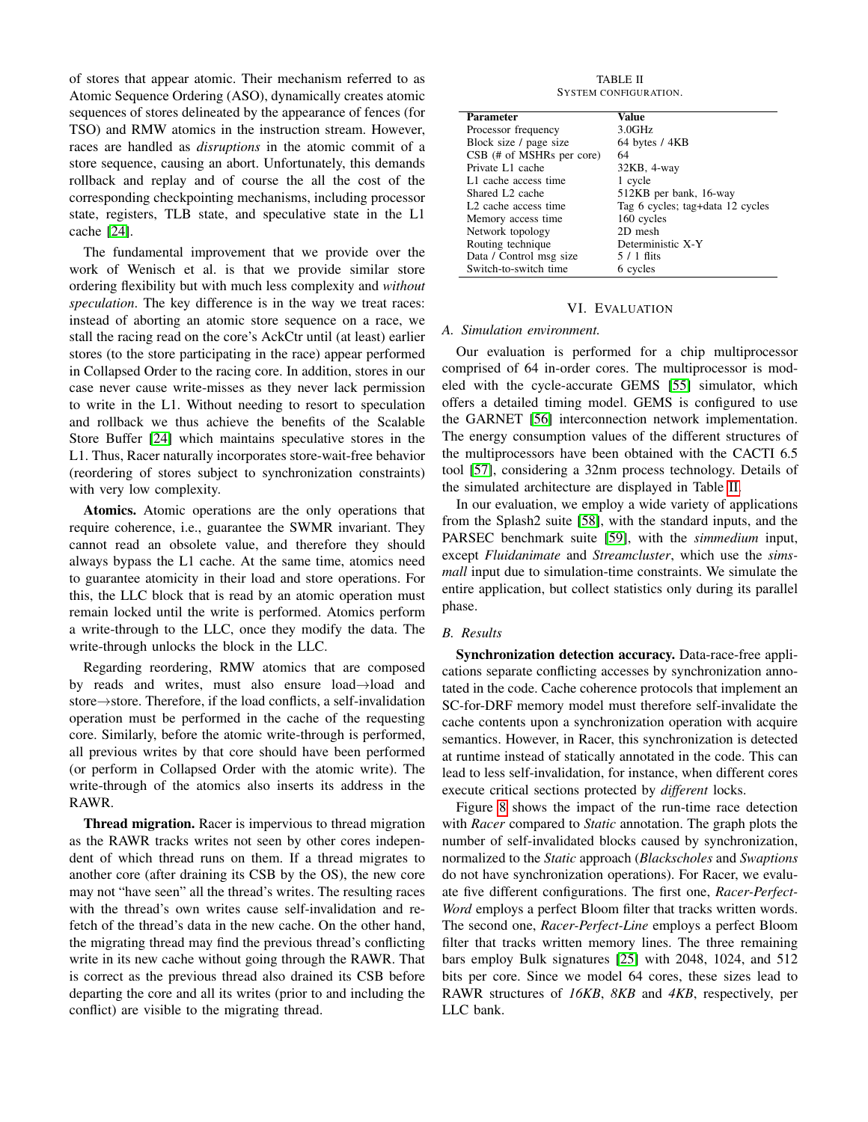of stores that appear atomic. Their mechanism referred to as Atomic Sequence Ordering (ASO), dynamically creates atomic sequences of stores delineated by the appearance of fences (for TSO) and RMW atomics in the instruction stream. However, races are handled as *disruptions* in the atomic commit of a store sequence, causing an abort. Unfortunately, this demands rollback and replay and of course the all the cost of the corresponding checkpointing mechanisms, including processor state, registers, TLB state, and speculative state in the L1 cache [\[24\]](#page-12-7).

The fundamental improvement that we provide over the work of Wenisch et al. is that we provide similar store ordering flexibility but with much less complexity and *without speculation*. The key difference is in the way we treat races: instead of aborting an atomic store sequence on a race, we stall the racing read on the core's AckCtr until (at least) earlier stores (to the store participating in the race) appear performed in Collapsed Order to the racing core. In addition, stores in our case never cause write-misses as they never lack permission to write in the L1. Without needing to resort to speculation and rollback we thus achieve the benefits of the Scalable Store Buffer [\[24\]](#page-12-7) which maintains speculative stores in the L1. Thus, Racer naturally incorporates store-wait-free behavior (reordering of stores subject to synchronization constraints) with very low complexity.

Atomics. Atomic operations are the only operations that require coherence, i.e., guarantee the SWMR invariant. They cannot read an obsolete value, and therefore they should always bypass the L1 cache. At the same time, atomics need to guarantee atomicity in their load and store operations. For this, the LLC block that is read by an atomic operation must remain locked until the write is performed. Atomics perform a write-through to the LLC, once they modify the data. The write-through unlocks the block in the LLC.

Regarding reordering, RMW atomics that are composed by reads and writes, must also ensure load→load and store→store. Therefore, if the load conflicts, a self-invalidation operation must be performed in the cache of the requesting core. Similarly, before the atomic write-through is performed, all previous writes by that core should have been performed (or perform in Collapsed Order with the atomic write). The write-through of the atomics also inserts its address in the RAWR.

Thread migration. Racer is impervious to thread migration as the RAWR tracks writes not seen by other cores independent of which thread runs on them. If a thread migrates to another core (after draining its CSB by the OS), the new core may not "have seen" all the thread's writes. The resulting races with the thread's own writes cause self-invalidation and refetch of the thread's data in the new cache. On the other hand, the migrating thread may find the previous thread's conflicting write in its new cache without going through the RAWR. That is correct as the previous thread also drained its CSB before departing the core and all its writes (prior to and including the conflict) are visible to the migrating thread.

TABLE II SYSTEM CONFIGURATION.

<span id="page-8-0"></span>

| Parameter                   | Value                            |  |  |  |  |
|-----------------------------|----------------------------------|--|--|--|--|
| Processor frequency         | $3.0$ GHz                        |  |  |  |  |
| Block size / page size      | 64 bytes / 4KB                   |  |  |  |  |
| $CSB$ (# of MSHRs per core) | 64                               |  |  |  |  |
| Private L1 cache            | $32KB$ , 4-way                   |  |  |  |  |
| L1 cache access time        | 1 cycle                          |  |  |  |  |
| Shared L <sub>2</sub> cache | 512KB per bank, 16-way           |  |  |  |  |
| L2 cache access time        | Tag 6 cycles; tag+data 12 cycles |  |  |  |  |
| Memory access time          | 160 cycles                       |  |  |  |  |
| Network topology            | $2D$ mesh                        |  |  |  |  |
| Routing technique           | Deterministic X-Y                |  |  |  |  |
| Data / Control msg size     | $5/1$ flits                      |  |  |  |  |
| Switch-to-switch time       | 6 cycles                         |  |  |  |  |

### VI. EVALUATION

#### *A. Simulation environment.*

Our evaluation is performed for a chip multiprocessor comprised of 64 in-order cores. The multiprocessor is modeled with the cycle-accurate GEMS [\[55\]](#page-12-38) simulator, which offers a detailed timing model. GEMS is configured to use the GARNET [\[56\]](#page-12-39) interconnection network implementation. The energy consumption values of the different structures of the multiprocessors have been obtained with the CACTI 6.5 tool [\[57\]](#page-12-40), considering a 32nm process technology. Details of the simulated architecture are displayed in Table [II.](#page-8-0)

In our evaluation, we employ a wide variety of applications from the Splash2 suite [\[58\]](#page-12-41), with the standard inputs, and the PARSEC benchmark suite [\[59\]](#page-12-42), with the *simmedium* input, except *Fluidanimate* and *Streamcluster*, which use the *simsmall* input due to simulation-time constraints. We simulate the entire application, but collect statistics only during its parallel phase.

## *B. Results*

Synchronization detection accuracy. Data-race-free applications separate conflicting accesses by synchronization annotated in the code. Cache coherence protocols that implement an SC-for-DRF memory model must therefore self-invalidate the cache contents upon a synchronization operation with acquire semantics. However, in Racer, this synchronization is detected at runtime instead of statically annotated in the code. This can lead to less self-invalidation, for instance, when different cores execute critical sections protected by *different* locks.

Figure [8](#page-9-0) shows the impact of the run-time race detection with *Racer* compared to *Static* annotation. The graph plots the number of self-invalidated blocks caused by synchronization, normalized to the *Static* approach (*Blackscholes* and *Swaptions* do not have synchronization operations). For Racer, we evaluate five different configurations. The first one, *Racer-Perfect-Word* employs a perfect Bloom filter that tracks written words. The second one, *Racer-Perfect-Line* employs a perfect Bloom filter that tracks written memory lines. The three remaining bars employ Bulk signatures [\[25\]](#page-12-8) with 2048, 1024, and 512 bits per core. Since we model 64 cores, these sizes lead to RAWR structures of *16KB*, *8KB* and *4KB*, respectively, per LLC bank.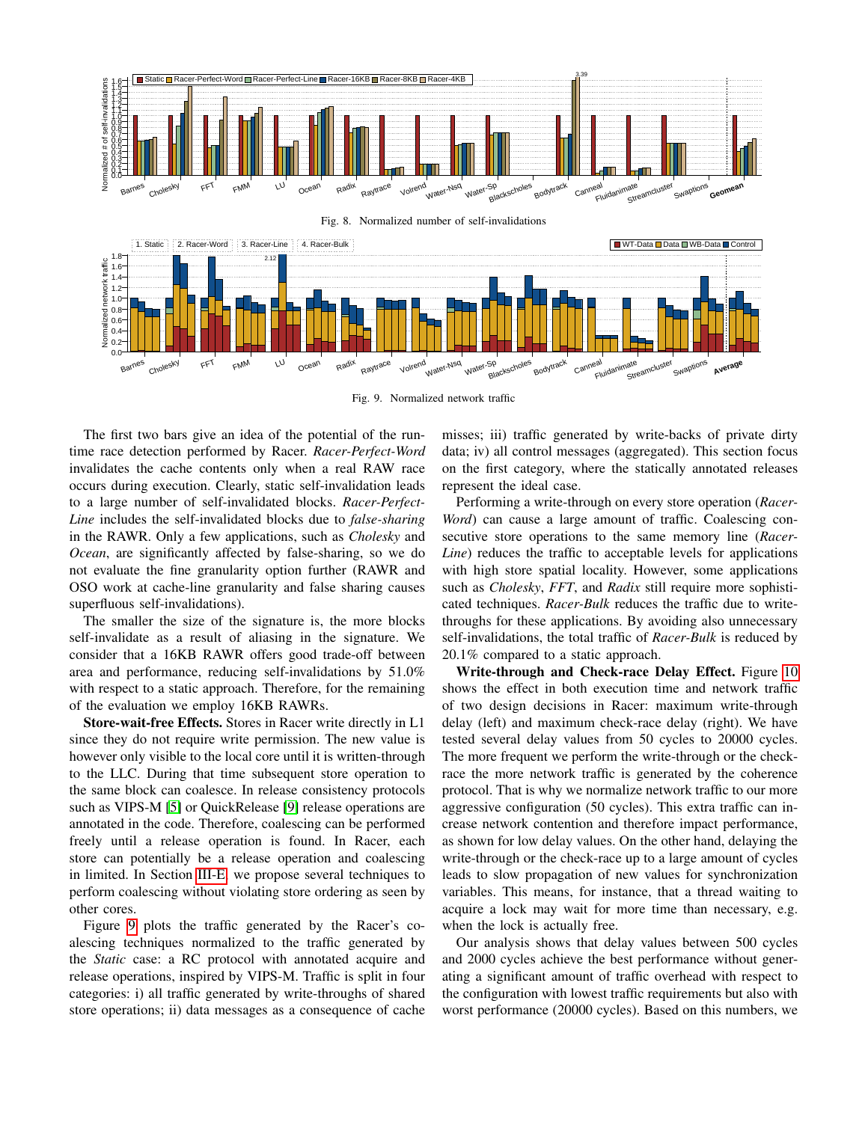

<span id="page-9-1"></span><span id="page-9-0"></span>Fig. 9. Normalized network traffic

The first two bars give an idea of the potential of the runtime race detection performed by Racer. *Racer-Perfect-Word* invalidates the cache contents only when a real RAW race occurs during execution. Clearly, static self-invalidation leads to a large number of self-invalidated blocks. *Racer-Perfect-Line* includes the self-invalidated blocks due to *false-sharing* in the RAWR. Only a few applications, such as *Cholesky* and *Ocean*, are significantly affected by false-sharing, so we do not evaluate the fine granularity option further (RAWR and OSO work at cache-line granularity and false sharing causes superfluous self-invalidations).

The smaller the size of the signature is, the more blocks self-invalidate as a result of aliasing in the signature. We consider that a 16KB RAWR offers good trade-off between area and performance, reducing self-invalidations by 51.0% with respect to a static approach. Therefore, for the remaining of the evaluation we employ 16KB RAWRs.

Store-wait-free Effects. Stores in Racer write directly in L1 since they do not require write permission. The new value is however only visible to the local core until it is written-through to the LLC. During that time subsequent store operation to the same block can coalesce. In release consistency protocols such as VIPS-M [\[5\]](#page-11-4) or QuickRelease [\[9\]](#page-11-8) release operations are annotated in the code. Therefore, coalescing can be performed freely until a release operation is found. In Racer, each store can potentially be a release operation and coalescing in limited. In Section [III-E,](#page-4-0) we propose several techniques to perform coalescing without violating store ordering as seen by other cores.

Figure [9](#page-9-1) plots the traffic generated by the Racer's coalescing techniques normalized to the traffic generated by the *Static* case: a RC protocol with annotated acquire and release operations, inspired by VIPS-M. Traffic is split in four categories: i) all traffic generated by write-throughs of shared store operations; ii) data messages as a consequence of cache misses; iii) traffic generated by write-backs of private dirty data; iv) all control messages (aggregated). This section focus on the first category, where the statically annotated releases represent the ideal case.

Performing a write-through on every store operation (*Racer-Word*) can cause a large amount of traffic. Coalescing consecutive store operations to the same memory line (*Racer-Line*) reduces the traffic to acceptable levels for applications with high store spatial locality. However, some applications such as *Cholesky*, *FFT*, and *Radix* still require more sophisticated techniques. *Racer-Bulk* reduces the traffic due to writethroughs for these applications. By avoiding also unnecessary self-invalidations, the total traffic of *Racer-Bulk* is reduced by 20.1% compared to a static approach.

Write-through and Check-race Delay Effect. Figure [10](#page-10-0) shows the effect in both execution time and network traffic of two design decisions in Racer: maximum write-through delay (left) and maximum check-race delay (right). We have tested several delay values from 50 cycles to 20000 cycles. The more frequent we perform the write-through or the checkrace the more network traffic is generated by the coherence protocol. That is why we normalize network traffic to our more aggressive configuration (50 cycles). This extra traffic can increase network contention and therefore impact performance, as shown for low delay values. On the other hand, delaying the write-through or the check-race up to a large amount of cycles leads to slow propagation of new values for synchronization variables. This means, for instance, that a thread waiting to acquire a lock may wait for more time than necessary, e.g. when the lock is actually free.

Our analysis shows that delay values between 500 cycles and 2000 cycles achieve the best performance without generating a significant amount of traffic overhead with respect to the configuration with lowest traffic requirements but also with worst performance (20000 cycles). Based on this numbers, we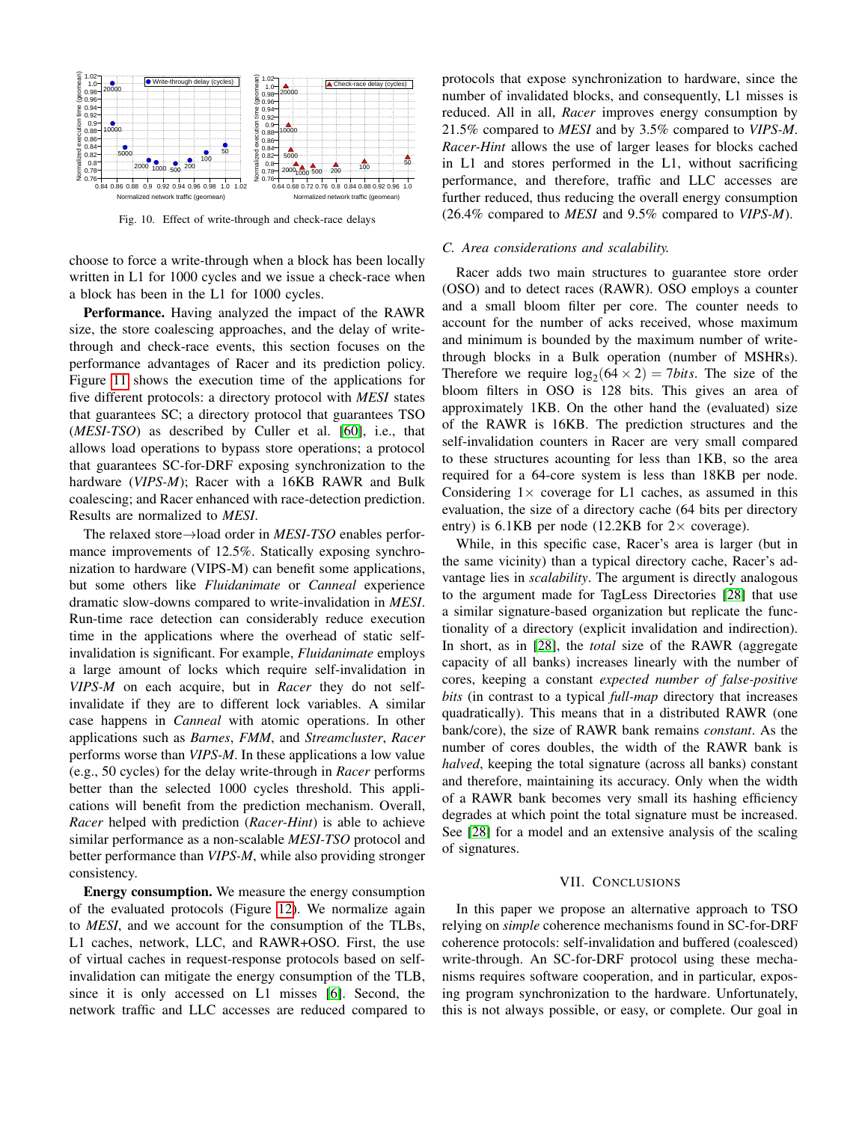

<span id="page-10-0"></span>Fig. 10. Effect of write-through and check-race delays

choose to force a write-through when a block has been locally written in L1 for 1000 cycles and we issue a check-race when a block has been in the L1 for 1000 cycles.

Performance. Having analyzed the impact of the RAWR size, the store coalescing approaches, and the delay of writethrough and check-race events, this section focuses on the performance advantages of Racer and its prediction policy. Figure [11](#page-11-16) shows the execution time of the applications for five different protocols: a directory protocol with *MESI* states that guarantees SC; a directory protocol that guarantees TSO (*MESI-TSO*) as described by Culler et al. [\[60\]](#page-12-43), i.e., that allows load operations to bypass store operations; a protocol that guarantees SC-for-DRF exposing synchronization to the hardware (VIPS-M); Racer with a 16KB RAWR and Bulk coalescing; and Racer enhanced with race-detection prediction. Results are normalized to *MESI*.

The relaxed store→load order in *MESI-TSO* enables performance improvements of 12.5%. Statically exposing synchronization to hardware (VIPS-M) can benefit some applications, but some others like *Fluidanimate* or *Canneal* experience dramatic slow-downs compared to write-invalidation in *MESI*. Run-time race detection can considerably reduce execution time in the applications where the overhead of static selfinvalidation is significant. For example, *Fluidanimate* employs a large amount of locks which require self-invalidation in *VIPS-M* on each acquire, but in *Racer* they do not selfinvalidate if they are to different lock variables. A similar case happens in *Canneal* with atomic operations. In other applications such as *Barnes*, *FMM*, and *Streamcluster*, *Racer* performs worse than *VIPS-M*. In these applications a low value (e.g., 50 cycles) for the delay write-through in *Racer* performs better than the selected 1000 cycles threshold. This applications will benefit from the prediction mechanism. Overall, *Racer* helped with prediction (*Racer-Hint*) is able to achieve similar performance as a non-scalable *MESI-TSO* protocol and better performance than *VIPS-M*, while also providing stronger consistency.

Energy consumption. We measure the energy consumption of the evaluated protocols (Figure [12\)](#page-11-17). We normalize again to *MESI*, and we account for the consumption of the TLBs, L1 caches, network, LLC, and RAWR+OSO. First, the use of virtual caches in request-response protocols based on selfinvalidation can mitigate the energy consumption of the TLB, since it is only accessed on L1 misses [\[6\]](#page-11-5). Second, the network traffic and LLC accesses are reduced compared to protocols that expose synchronization to hardware, since the number of invalidated blocks, and consequently, L1 misses is reduced. All in all, *Racer* improves energy consumption by 21.5% compared to *MESI* and by 3.5% compared to *VIPS-M*. *Racer-Hint* allows the use of larger leases for blocks cached in L1 and stores performed in the L1, without sacrificing performance, and therefore, traffic and LLC accesses are further reduced, thus reducing the overall energy consumption (26.4% compared to *MESI* and 9.5% compared to *VIPS-M*).

## *C. Area considerations and scalability.*

Racer adds two main structures to guarantee store order (OSO) and to detect races (RAWR). OSO employs a counter and a small bloom filter per core. The counter needs to account for the number of acks received, whose maximum and minimum is bounded by the maximum number of writethrough blocks in a Bulk operation (number of MSHRs). Therefore we require  $log_2(64 \times 2) = 7bits$ . The size of the bloom filters in OSO is 128 bits. This gives an area of approximately 1KB. On the other hand the (evaluated) size of the RAWR is 16KB. The prediction structures and the self-invalidation counters in Racer are very small compared to these structures acounting for less than 1KB, so the area required for a 64-core system is less than 18KB per node. Considering  $1 \times$  coverage for L1 caches, as assumed in this evaluation, the size of a directory cache (64 bits per directory entry) is 6.1KB per node (12.2KB for  $2 \times$  coverage).

While, in this specific case, Racer's area is larger (but in the same vicinity) than a typical directory cache, Racer's advantage lies in *scalability*. The argument is directly analogous to the argument made for TagLess Directories [\[28\]](#page-12-11) that use a similar signature-based organization but replicate the functionality of a directory (explicit invalidation and indirection). In short, as in [\[28\]](#page-12-11), the *total* size of the RAWR (aggregate capacity of all banks) increases linearly with the number of cores, keeping a constant *expected number of false-positive bits* (in contrast to a typical *full-map* directory that increases quadratically). This means that in a distributed RAWR (one bank/core), the size of RAWR bank remains *constant*. As the number of cores doubles, the width of the RAWR bank is *halved*, keeping the total signature (across all banks) constant and therefore, maintaining its accuracy. Only when the width of a RAWR bank becomes very small its hashing efficiency degrades at which point the total signature must be increased. See [\[28\]](#page-12-11) for a model and an extensive analysis of the scaling of signatures.

#### VII. CONCLUSIONS

In this paper we propose an alternative approach to TSO relying on *simple* coherence mechanisms found in SC-for-DRF coherence protocols: self-invalidation and buffered (coalesced) write-through. An SC-for-DRF protocol using these mechanisms requires software cooperation, and in particular, exposing program synchronization to the hardware. Unfortunately, this is not always possible, or easy, or complete. Our goal in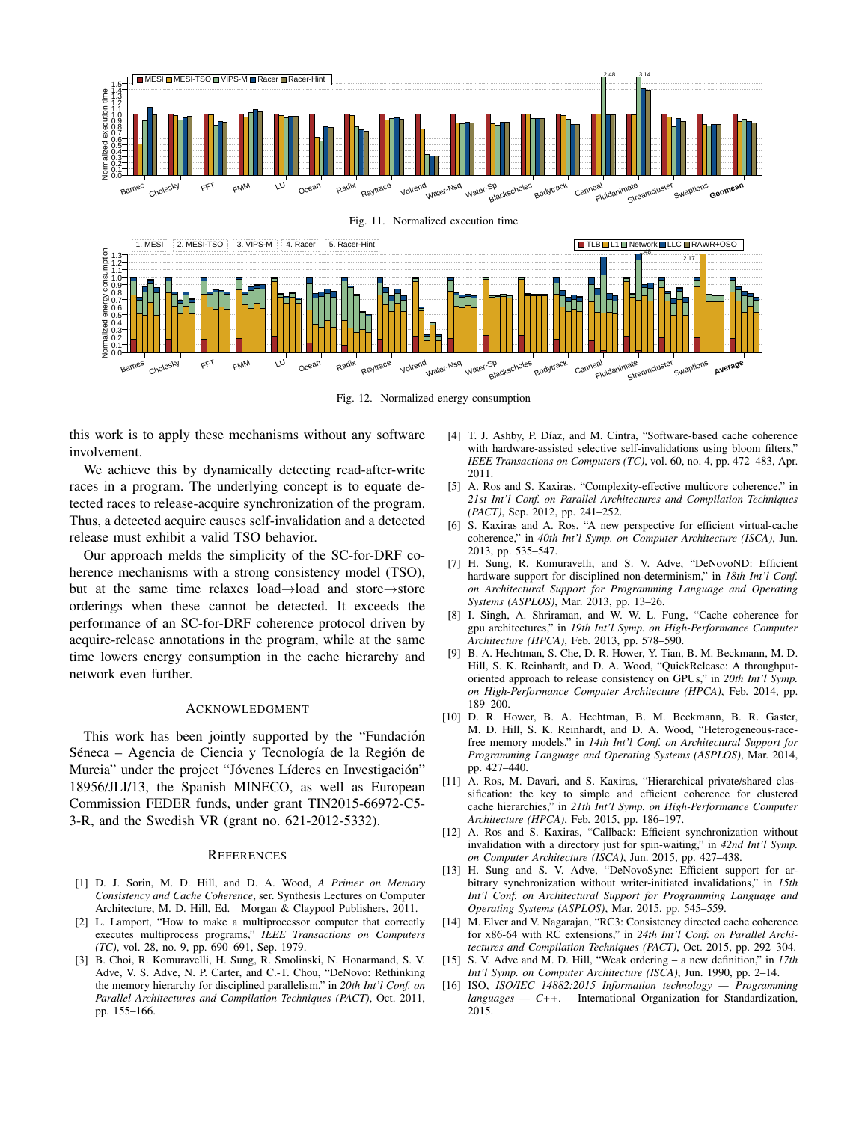

<span id="page-11-17"></span><span id="page-11-16"></span>Fig. 12. Normalized energy consumption

this work is to apply these mechanisms without any software involvement.

We achieve this by dynamically detecting read-after-write races in a program. The underlying concept is to equate detected races to release-acquire synchronization of the program. Thus, a detected acquire causes self-invalidation and a detected release must exhibit a valid TSO behavior.

Our approach melds the simplicity of the SC-for-DRF coherence mechanisms with a strong consistency model (TSO), but at the same time relaxes load→load and store→store orderings when these cannot be detected. It exceeds the performance of an SC-for-DRF coherence protocol driven by acquire-release annotations in the program, while at the same time lowers energy consumption in the cache hierarchy and network even further.

## ACKNOWLEDGMENT

This work has been jointly supported by the "Fundación" Séneca – Agencia de Ciencia y Tecnología de la Región de Murcia" under the project "Jóvenes Líderes en Investigación" 18956/JLI/13, the Spanish MINECO, as well as European Commission FEDER funds, under grant TIN2015-66972-C5- 3-R, and the Swedish VR (grant no. 621-2012-5332).

#### **REFERENCES**

- <span id="page-11-0"></span>[1] D. J. Sorin, M. D. Hill, and D. A. Wood, *A Primer on Memory Consistency and Cache Coherence*, ser. Synthesis Lectures on Computer Architecture, M. D. Hill, Ed. Morgan & Claypool Publishers, 2011.
- <span id="page-11-1"></span>[2] L. Lamport, "How to make a multiprocessor computer that correctly executes multiprocess programs," *IEEE Transactions on Computers (TC)*, vol. 28, no. 9, pp. 690–691, Sep. 1979.
- <span id="page-11-2"></span>[3] B. Choi, R. Komuravelli, H. Sung, R. Smolinski, N. Honarmand, S. V. Adve, V. S. Adve, N. P. Carter, and C.-T. Chou, "DeNovo: Rethinking the memory hierarchy for disciplined parallelism," in *20th Int'l Conf. on Parallel Architectures and Compilation Techniques (PACT)*, Oct. 2011, pp. 155–166.
- <span id="page-11-3"></span>[4] T. J. Ashby, P. Díaz, and M. Cintra, "Software-based cache coherence with hardware-assisted selective self-invalidations using bloom filters," *IEEE Transactions on Computers (TC)*, vol. 60, no. 4, pp. 472–483, Apr. 2011.
- <span id="page-11-4"></span>[5] A. Ros and S. Kaxiras, "Complexity-effective multicore coherence," in *21st Int'l Conf. on Parallel Architectures and Compilation Techniques (PACT)*, Sep. 2012, pp. 241–252.
- <span id="page-11-5"></span>[6] S. Kaxiras and A. Ros, "A new perspective for efficient virtual-cache coherence," in *40th Int'l Symp. on Computer Architecture (ISCA)*, Jun. 2013, pp. 535–547.
- <span id="page-11-6"></span>[7] H. Sung, R. Komuravelli, and S. V. Adve, "DeNovoND: Efficient hardware support for disciplined non-determinism," in *18th Int'l Conf. on Architectural Support for Programming Language and Operating Systems (ASPLOS)*, Mar. 2013, pp. 13–26.
- <span id="page-11-7"></span>[8] I. Singh, A. Shriraman, and W. W. L. Fung, "Cache coherence for gpu architectures," in *19th Int'l Symp. on High-Performance Computer Architecture (HPCA)*, Feb. 2013, pp. 578–590.
- <span id="page-11-8"></span>[9] B. A. Hechtman, S. Che, D. R. Hower, Y. Tian, B. M. Beckmann, M. D. Hill, S. K. Reinhardt, and D. A. Wood, "QuickRelease: A throughputoriented approach to release consistency on GPUs," in *20th Int'l Symp. on High-Performance Computer Architecture (HPCA)*, Feb. 2014, pp. 189–200.
- <span id="page-11-9"></span>[10] D. R. Hower, B. A. Hechtman, B. M. Beckmann, B. R. Gaster, M. D. Hill, S. K. Reinhardt, and D. A. Wood, "Heterogeneous-racefree memory models," in *14th Int'l Conf. on Architectural Support for Programming Language and Operating Systems (ASPLOS)*, Mar. 2014, pp. 427–440.
- <span id="page-11-10"></span>[11] A. Ros, M. Davari, and S. Kaxiras, "Hierarchical private/shared classification: the key to simple and efficient coherence for clustered cache hierarchies," in *21th Int'l Symp. on High-Performance Computer Architecture (HPCA)*, Feb. 2015, pp. 186–197.
- <span id="page-11-11"></span>[12] A. Ros and S. Kaxiras, "Callback: Efficient synchronization without invalidation with a directory just for spin-waiting," in *42nd Int'l Symp. on Computer Architecture (ISCA)*, Jun. 2015, pp. 427–438.
- <span id="page-11-12"></span>[13] H. Sung and S. V. Adve, "DeNovoSync: Efficient support for arbitrary synchronization without writer-initiated invalidations," in *15th Int'l Conf. on Architectural Support for Programming Language and Operating Systems (ASPLOS)*, Mar. 2015, pp. 545–559.
- <span id="page-11-13"></span>[14] M. Elver and V. Nagarajan, "RC3: Consistency directed cache coherence for x86-64 with RC extensions," in *24th Int'l Conf. on Parallel Architectures and Compilation Techniques (PACT)*, Oct. 2015, pp. 292–304.
- <span id="page-11-14"></span>[15] S. V. Adve and M. D. Hill, "Weak ordering – a new definition," in *17th Int'l Symp. on Computer Architecture (ISCA)*, Jun. 1990, pp. 2–14.
- <span id="page-11-15"></span>[16] ISO, *ISO/IEC 14882:2015 Information technology — Programming languages — C++*. International Organization for Standardization, 2015.